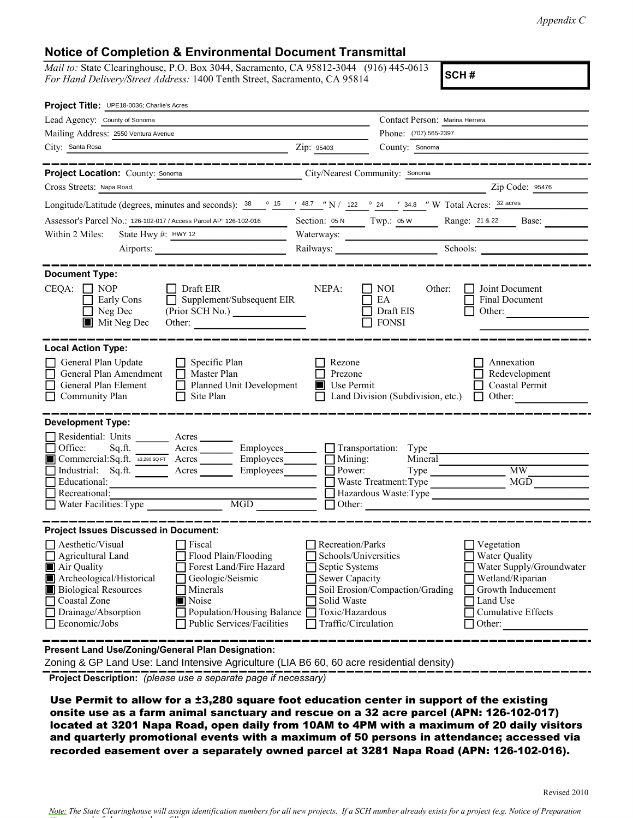*Appendix C*

## **Notice of Completion & Environmental Document Transmittal**

*Mail to:* State Clearinghouse, P.O. Box 3044, Sacramento, CA 95812-3044 (916) 445-0613 *For Hand Delivery/Street Address:* 1400 Tenth Street, Sacramento, CA 95814

**SCH #**

| Project Title: UPE18-0036; Charlie's Acres                                                                                                                                                                                                                                                                                                              |                                                                                                                                       |                                                                                                          |                                                                                                                                              |  |
|---------------------------------------------------------------------------------------------------------------------------------------------------------------------------------------------------------------------------------------------------------------------------------------------------------------------------------------------------------|---------------------------------------------------------------------------------------------------------------------------------------|----------------------------------------------------------------------------------------------------------|----------------------------------------------------------------------------------------------------------------------------------------------|--|
| Lead Agency: County of Sonoma                                                                                                                                                                                                                                                                                                                           |                                                                                                                                       | Contact Person: Marina Herrera                                                                           |                                                                                                                                              |  |
| Mailing Address: 2550 Ventura Avenue                                                                                                                                                                                                                                                                                                                    |                                                                                                                                       | Phone: (707) 565-2397                                                                                    |                                                                                                                                              |  |
| City: Santa Rosa                                                                                                                                                                                                                                                                                                                                        | Zip: 95403                                                                                                                            | County: Sonoma                                                                                           |                                                                                                                                              |  |
| _____________                                                                                                                                                                                                                                                                                                                                           |                                                                                                                                       |                                                                                                          |                                                                                                                                              |  |
| Project Location: County: Sonoma<br>City/Nearest Community: Sonoma                                                                                                                                                                                                                                                                                      |                                                                                                                                       |                                                                                                          |                                                                                                                                              |  |
| Cross Streets: Napa Road,                                                                                                                                                                                                                                                                                                                               |                                                                                                                                       |                                                                                                          | Zip Code: 95476                                                                                                                              |  |
| Longitude/Latitude (degrees, minutes and seconds): $38 \degree$ 15 $\degree$ 148.7 "N / 122 ° 24 ' 34.8 "W Total Acres: $32 \text{ acres}$                                                                                                                                                                                                              |                                                                                                                                       |                                                                                                          |                                                                                                                                              |  |
| Assessor's Parcel No.: 126-102-017 / Access Parcel AP" 126-102-016                                                                                                                                                                                                                                                                                      |                                                                                                                                       | Section: 05 N Twp.: 05 W Range: 21 & 22 Base:                                                            |                                                                                                                                              |  |
| State Hwy #: HWY 12<br>Within 2 Miles:<br><u> 1990 - John Barn Barn, amerikansk politiker</u>                                                                                                                                                                                                                                                           |                                                                                                                                       |                                                                                                          |                                                                                                                                              |  |
|                                                                                                                                                                                                                                                                                                                                                         |                                                                                                                                       |                                                                                                          |                                                                                                                                              |  |
|                                                                                                                                                                                                                                                                                                                                                         |                                                                                                                                       |                                                                                                          |                                                                                                                                              |  |
| <b>Document Type:</b><br>$CEQA: \Box NOP$<br>$\Box$ Draft EIR<br>$\Box$ Supplement/Subsequent EIR<br>Early Cons<br>Neg Dec<br>$\blacksquare$ Mit Neg Dec                                                                                                                                                                                                | NEPA:                                                                                                                                 | NOI<br>Other:<br>EA<br>Draft EIS<br><b>FONSI</b>                                                         | Joint Document<br>Final Document<br>Other:                                                                                                   |  |
| <b>Local Action Type:</b><br>General Plan Update<br>$\Box$ Specific Plan<br>General Plan Amendment<br>$\Box$ Master Plan<br>General Plan Element<br>Planned Unit Development<br>$\Box$<br>Community Plan<br>Site Plan<br>$\perp$                                                                                                                        | Rezone<br>Prezone<br>Use Permit<br>$\blacksquare$                                                                                     | Land Division (Subdivision, etc.)                                                                        | Annexation<br>Redevelopment<br>Coastal Permit<br>Other:<br>$\Box$                                                                            |  |
| <b>Development Type:</b>                                                                                                                                                                                                                                                                                                                                |                                                                                                                                       |                                                                                                          |                                                                                                                                              |  |
| Residential: Units ________ Acres _______<br>Office:<br>Sq.ft. __________ Acres ____________ Employees_________<br>Commercial: Sq.ft. +3,280 SQ.FT Acres _________ Employees ________<br>Industrial: Sq.ft. <u>Acres</u> Acres<br>Employees________<br>Educational:<br>Recreational:<br>MGD NGD<br>Water Facilities: Type                               | Mining:<br>Power:                                                                                                                     | $\Box$ Transportation: Type<br>Mineral<br>Waste Treatment: Type<br>Hazardous Waste:Type<br>$\Box$ Other: | MW<br>MGD                                                                                                                                    |  |
| <b>Project Issues Discussed in Document:</b>                                                                                                                                                                                                                                                                                                            |                                                                                                                                       |                                                                                                          |                                                                                                                                              |  |
| Aesthetic/Visual<br>$\Box$ Fiscal<br>Flood Plain/Flooding<br>$\Box$ Agricultural Land<br>Forest Land/Fire Hazard<br>Air Quality<br>Archeological/Historical<br>Geologic/Seismic<br><b>Biological Resources</b><br>Minerals<br>Coastal Zone<br>Noise<br>Drainage/Absorption<br>Population/Housing Balance<br>Economic/Jobs<br>Public Services/Facilities | Recreation/Parks<br>Schools/Universities<br>Septic Systems<br>Sewer Capacity<br>Solid Waste<br>Toxic/Hazardous<br>Traffic/Circulation | Soil Erosion/Compaction/Grading                                                                          | Vegetation<br>Water Quality<br>Water Supply/Groundwater<br>Wetland/Riparian<br>Growth Inducement<br>Land Use<br>Cumulative Effects<br>Other: |  |
| Present Land Use/Zoning/General Plan Designation:<br>Zoning & GP Land Use: Land Intensive Agriculture (LIA B6 60, 60 acre residential density)                                                                                                                                                                                                          |                                                                                                                                       |                                                                                                          |                                                                                                                                              |  |

**Project Description:** *(please use a separate page if necessary)* 

Use Permit to allow for a ±3,280 square foot education center in support of the existing onsite use as a farm animal sanctuary and rescue on a 32 acre parcel (APN: 126-102-017) located at 3201 Napa Road, open daily from 10AM to 4PM with a maximum of 20 daily visitors and quarterly promotional events with a maximum of 50 persons in attendance; accessed via recorded easement over a separately owned parcel at 3281 Napa Road (APN: 126-102-016).